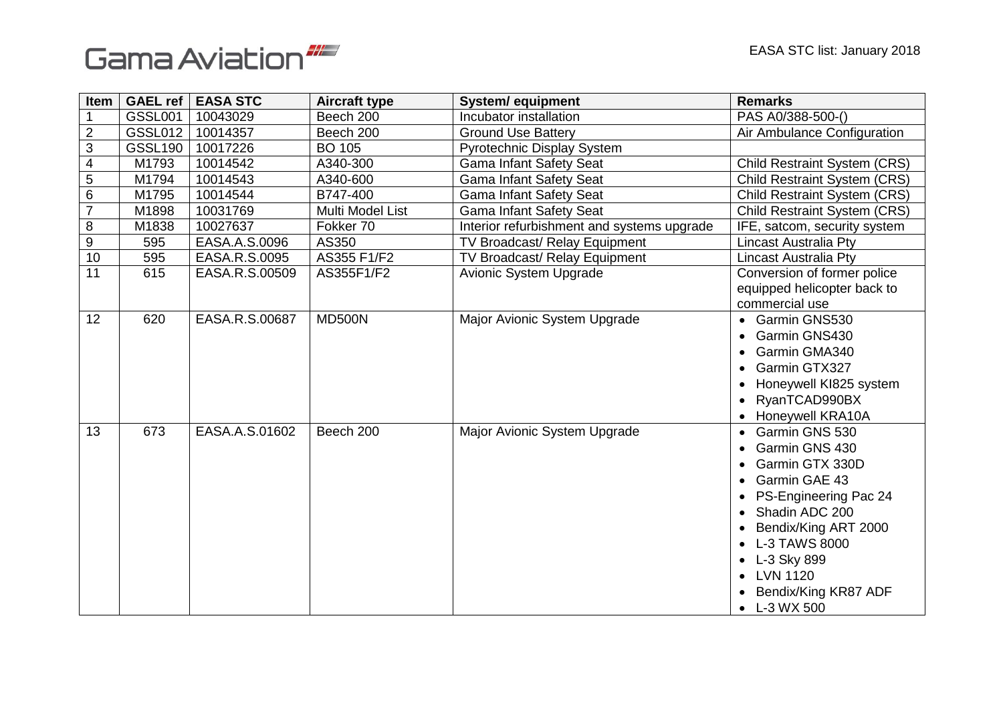



| Item                    | GAEL ref       | <b>EASA STC</b> | <b>Aircraft type</b> | <b>System/ equipment</b>                   | <b>Remarks</b>                                                                                                                                                                                                                                          |
|-------------------------|----------------|-----------------|----------------------|--------------------------------------------|---------------------------------------------------------------------------------------------------------------------------------------------------------------------------------------------------------------------------------------------------------|
|                         | <b>GSSL001</b> | 10043029        | Beech 200            | Incubator installation                     | PAS A0/388-500-()                                                                                                                                                                                                                                       |
| $\overline{2}$          | <b>GSSL012</b> | 10014357        | Beech 200            | <b>Ground Use Battery</b>                  | Air Ambulance Configuration                                                                                                                                                                                                                             |
| $\mathsf 3$             | <b>GSSL190</b> | 10017226        | <b>BO 105</b>        | <b>Pyrotechnic Display System</b>          |                                                                                                                                                                                                                                                         |
| $\overline{\mathbf{4}}$ | M1793          | 10014542        | A340-300             | <b>Gama Infant Safety Seat</b>             | <b>Child Restraint System (CRS)</b>                                                                                                                                                                                                                     |
| $\mathbf 5$             | M1794          | 10014543        | A340-600             | <b>Gama Infant Safety Seat</b>             | Child Restraint System (CRS)                                                                                                                                                                                                                            |
| 6                       | M1795          | 10014544        | B747-400             | <b>Gama Infant Safety Seat</b>             | <b>Child Restraint System (CRS)</b>                                                                                                                                                                                                                     |
| $\overline{7}$          | M1898          | 10031769        | Multi Model List     | <b>Gama Infant Safety Seat</b>             | <b>Child Restraint System (CRS)</b>                                                                                                                                                                                                                     |
| 8                       | M1838          | 10027637        | Fokker 70            | Interior refurbishment and systems upgrade | IFE, satcom, security system                                                                                                                                                                                                                            |
| $\boldsymbol{9}$        | 595            | EASA.A.S.0096   | AS350                | TV Broadcast/ Relay Equipment              | <b>Lincast Australia Pty</b>                                                                                                                                                                                                                            |
| 10                      | 595            | EASA.R.S.0095   | AS355 F1/F2          | TV Broadcast/ Relay Equipment              | <b>Lincast Australia Pty</b>                                                                                                                                                                                                                            |
| 11                      | 615            | EASA.R.S.00509  | AS355F1/F2           | Avionic System Upgrade                     | Conversion of former police<br>equipped helicopter back to<br>commercial use                                                                                                                                                                            |
| 12                      | 620            | EASA.R.S.00687  | MD500N               | Major Avionic System Upgrade               | Garmin GNS530<br>Garmin GNS430<br>Garmin GMA340<br>Garmin GTX327<br>Honeywell KI825 system<br>RyanTCAD990BX<br>Honeywell KRA10A                                                                                                                         |
| 13                      | 673            | EASA.A.S.01602  | Beech 200            | Major Avionic System Upgrade               | Garmin GNS 530<br>$\bullet$<br>Garmin GNS 430<br>Garmin GTX 330D<br>Garmin GAE 43<br>PS-Engineering Pac 24<br>Shadin ADC 200<br>Bendix/King ART 2000<br>L-3 TAWS 8000<br>L-3 Sky 899<br><b>LVN 1120</b><br>Bendix/King KR87 ADF<br>$\bullet$ L-3 WX 500 |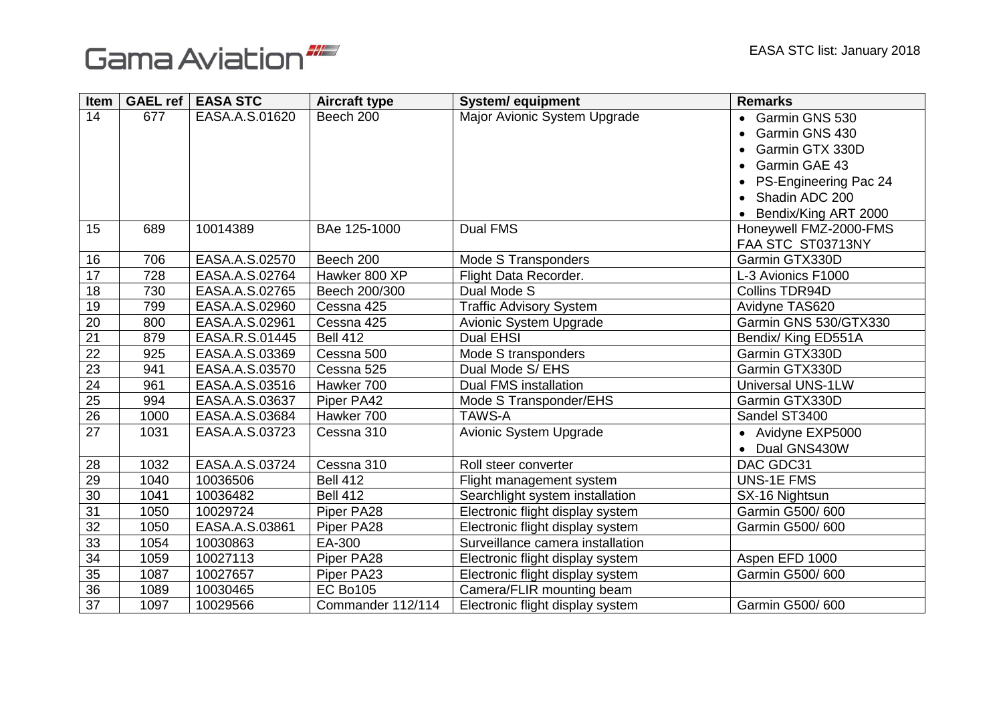



| Item            |      | GAEL ref   EASA STC | <b>Aircraft type</b> | <b>System/ equipment</b>         | <b>Remarks</b>           |
|-----------------|------|---------------------|----------------------|----------------------------------|--------------------------|
| 14              | 677  | EASA.A.S.01620      | Beech 200            | Major Avionic System Upgrade     | • Garmin GNS 530         |
|                 |      |                     |                      |                                  | Garmin GNS 430           |
|                 |      |                     |                      |                                  | Garmin GTX 330D          |
|                 |      |                     |                      |                                  | Garmin GAE 43            |
|                 |      |                     |                      |                                  | PS-Engineering Pac 24    |
|                 |      |                     |                      |                                  | • Shadin ADC 200         |
|                 |      |                     |                      |                                  | Bendix/King ART 2000     |
| 15              | 689  | 10014389            | BAe 125-1000         | Dual FMS                         | Honeywell FMZ-2000-FMS   |
|                 |      |                     |                      |                                  | FAA STC ST03713NY        |
| 16              | 706  | EASA.A.S.02570      | Beech 200            | Mode S Transponders              | Garmin GTX330D           |
| $\overline{17}$ | 728  | EASA.A.S.02764      | Hawker 800 XP        | Flight Data Recorder.            | L-3 Avionics F1000       |
| 18              | 730  | EASA.A.S.02765      | Beech 200/300        | Dual Mode S                      | Collins TDR94D           |
| 19              | 799  | EASA.A.S.02960      | Cessna 425           | <b>Traffic Advisory System</b>   | Avidyne TAS620           |
| 20              | 800  | EASA.A.S.02961      | Cessna 425           | Avionic System Upgrade           | Garmin GNS 530/GTX330    |
| $\overline{21}$ | 879  | EASA.R.S.01445      | <b>Bell 412</b>      | <b>Dual EHSI</b>                 | Bendix/ King ED551A      |
| 22              | 925  | EASA.A.S.03369      | Cessna 500           | Mode S transponders              | Garmin GTX330D           |
| 23              | 941  | EASA.A.S.03570      | Cessna 525           | Dual Mode S/ EHS                 | Garmin GTX330D           |
| 24              | 961  | EASA.A.S.03516      | Hawker 700           | Dual FMS installation            | <b>Universal UNS-1LW</b> |
| $\overline{25}$ | 994  | EASA.A.S.03637      | Piper PA42           | Mode S Transponder/EHS           | Garmin GTX330D           |
| $\overline{26}$ | 1000 | EASA.A.S.03684      | Hawker 700           | <b>TAWS-A</b>                    | Sandel ST3400            |
| 27              | 1031 | EASA.A.S.03723      | Cessna 310           | Avionic System Upgrade           | • Avidyne EXP5000        |
|                 |      |                     |                      |                                  | • Dual GNS430W           |
| 28              | 1032 | EASA.A.S.03724      | Cessna 310           | Roll steer converter             | DAC GDC31                |
| 29              | 1040 | 10036506            | <b>Bell 412</b>      | Flight management system         | <b>UNS-1E FMS</b>        |
| 30              | 1041 | 10036482            | <b>Bell 412</b>      | Searchlight system installation  | SX-16 Nightsun           |
| $\overline{31}$ | 1050 | 10029724            | Piper PA28           | Electronic flight display system | Garmin G500/600          |
| 32              | 1050 | EASA.A.S.03861      | Piper PA28           | Electronic flight display system | Garmin G500/600          |
| 33              | 1054 | 10030863            | EA-300               | Surveillance camera installation |                          |
| 34              | 1059 | 10027113            | Piper PA28           | Electronic flight display system | Aspen EFD 1000           |
| 35              | 1087 | 10027657            | Piper PA23           | Electronic flight display system | Garmin G500/600          |
| 36              | 1089 | 10030465            | <b>EC Bo105</b>      | Camera/FLIR mounting beam        |                          |
| 37              | 1097 | 10029566            | Commander 112/114    | Electronic flight display system | Garmin G500/600          |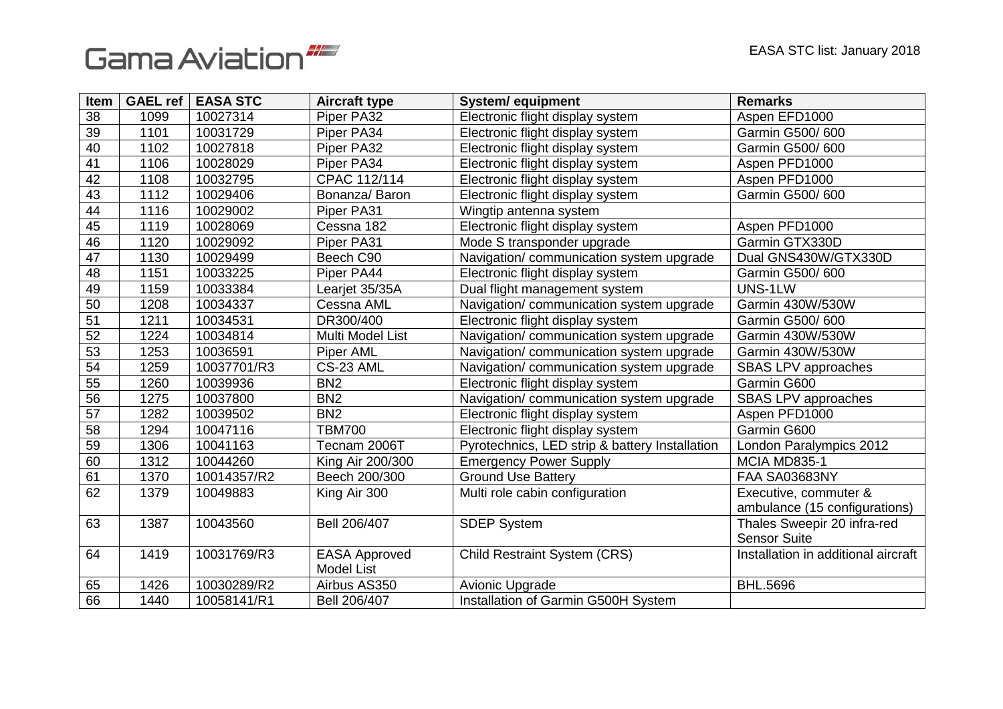



| Item            | GAEL ref | <b>EASA STC</b> | <b>Aircraft type</b> | <b>System/ equipment</b>                       | <b>Remarks</b>                      |
|-----------------|----------|-----------------|----------------------|------------------------------------------------|-------------------------------------|
| 38              | 1099     | 10027314        | Piper PA32           | Electronic flight display system               | Aspen EFD1000                       |
| 39              | 1101     | 10031729        | Piper PA34           | Electronic flight display system               | Garmin G500/600                     |
| $\overline{40}$ | 1102     | 10027818        | Piper PA32           | Electronic flight display system               | Garmin G500/600                     |
| 41              | 1106     | 10028029        | Piper PA34           | Electronic flight display system               | Aspen PFD1000                       |
| $\overline{42}$ | 1108     | 10032795        | CPAC 112/114         | Electronic flight display system               | Aspen PFD1000                       |
| 43              | 1112     | 10029406        | Bonanza/ Baron       | Electronic flight display system               | Garmin G500/600                     |
| 44              | 1116     | 10029002        | Piper PA31           | Wingtip antenna system                         |                                     |
| 45              | 1119     | 10028069        | Cessna 182           | Electronic flight display system               | Aspen PFD1000                       |
| 46              | 1120     | 10029092        | Piper PA31           | Mode S transponder upgrade                     | Garmin GTX330D                      |
| 47              | 1130     | 10029499        | Beech C90            | Navigation/communication system upgrade        | Dual GNS430W/GTX330D                |
| 48              | 1151     | 10033225        | Piper PA44           | Electronic flight display system               | Garmin G500/600                     |
| 49              | 1159     | 10033384        | Learjet 35/35A       | Dual flight management system                  | UNS-1LW                             |
| 50              | 1208     | 10034337        | Cessna AML           | Navigation/ communication system upgrade       | Garmin 430W/530W                    |
| 51              | 1211     | 10034531        | DR300/400            | Electronic flight display system               | Garmin G500/600                     |
| 52              | 1224     | 10034814        | Multi Model List     | Navigation/ communication system upgrade       | Garmin 430W/530W                    |
| 53              | 1253     | 10036591        | <b>Piper AML</b>     | Navigation/ communication system upgrade       | Garmin 430W/530W                    |
| 54              | 1259     | 10037701/R3     | CS-23 AML            | Navigation/ communication system upgrade       | SBAS LPV approaches                 |
| 55              | 1260     | 10039936        | BN <sub>2</sub>      | Electronic flight display system               | Garmin G600                         |
| $\overline{56}$ | 1275     | 10037800        | BN <sub>2</sub>      | Navigation/ communication system upgrade       | SBAS LPV approaches                 |
| 57              | 1282     | 10039502        | BN <sub>2</sub>      | Electronic flight display system               | Aspen PFD1000                       |
| 58              | 1294     | 10047116        | <b>TBM700</b>        | Electronic flight display system               | Garmin G600                         |
| 59              | 1306     | 10041163        | Tecnam 2006T         | Pyrotechnics, LED strip & battery Installation | London Paralympics 2012             |
| 60              | 1312     | 10044260        | King Air 200/300     | <b>Emergency Power Supply</b>                  | MCIA MD835-1                        |
| 61              | 1370     | 10014357/R2     | Beech 200/300        | <b>Ground Use Battery</b>                      | <b>FAA SA03683NY</b>                |
| 62              | 1379     | 10049883        | King Air 300         | Multi role cabin configuration                 | Executive, commuter &               |
|                 |          |                 |                      |                                                | ambulance (15 configurations)       |
| 63              | 1387     | 10043560        | Bell 206/407         | <b>SDEP System</b>                             | Thales Sweepir 20 infra-red         |
|                 |          |                 |                      |                                                | <b>Sensor Suite</b>                 |
| 64              | 1419     | 10031769/R3     | <b>EASA Approved</b> | <b>Child Restraint System (CRS)</b>            | Installation in additional aircraft |
|                 |          |                 | <b>Model List</b>    |                                                |                                     |
| 65              | 1426     | 10030289/R2     | Airbus AS350         | Avionic Upgrade                                | <b>BHL.5696</b>                     |
| 66              | 1440     | 10058141/R1     | Bell 206/407         | Installation of Garmin G500H System            |                                     |